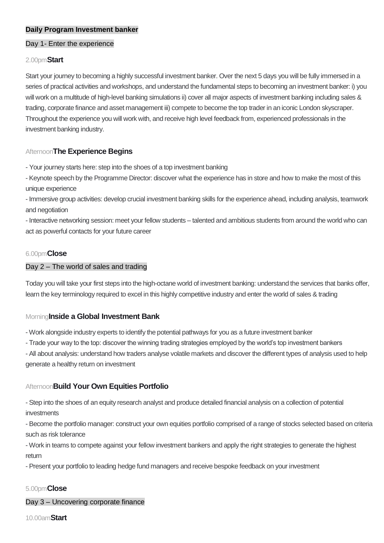# **Daily Program Investment banker**

#### Day 1- Enter the experience

#### 2.00pm**Start**

Start your journey to becoming a highly successful investment banker. Over the next 5 days you will be fully immersed in a series of practical activities and workshops, and understand the fundamental steps to becoming an investment banker: i) you will work on a multitude of high-level banking simulations ii) cover all major aspects of investment banking including sales & trading, corporate finance and asset management iii) compete to become the top trader in an iconic London skyscraper. Throughout the experience you will work with, and receive high level feedback from, experienced professionals in the investment banking industry.

### Afternoon**The Experience Begins**

- Your journey starts here: step into the shoes of a top investment banking

- Keynote speech by the Programme Director: discover what the experience has in store and how to make the most of this unique experience

- Immersive group activities: develop crucial investment banking skills for the experience ahead, including analysis, teamwork and negotiation

- Interactive networking session: meet your fellow students – talented and ambitious students from around the world who can act as powerful contacts for your future career

#### 6.00pm**Close**

#### Day 2 – The world of sales and trading

Today you will take your first steps into the high-octane world of investment banking: understand the services that banks offer, learn the key terminology required to excel in this highly competitive industry and enter the world of sales & trading

### Morning**Inside a Global Investment Bank**

- Work alongside industry experts to identify the potential pathways for you as a future investment banker

- Trade your way to the top: discover the winning trading strategies employed by the world's top investment bankers

- All about analysis: understand how traders analyse volatile markets and discover the different types of analysis used to help generate a healthy return on investment

## Afternoon**Build Your Own Equities Portfolio**

- Step into the shoes of an equity research analyst and produce detailed financial analysis on a collection of potential investments

- Become the portfolio manager: construct your own equities portfolio comprised of a range of stocks selected based on criteria such as risk tolerance

- Work in teams to compete against your fellow investment bankers and apply the right strategies to generate the highest return

- Present your portfolio to leading hedge fund managers and receive bespoke feedback on your investment

### 5.00pm**Close**

Day 3 – Uncovering corporate finance

10.00am**Start**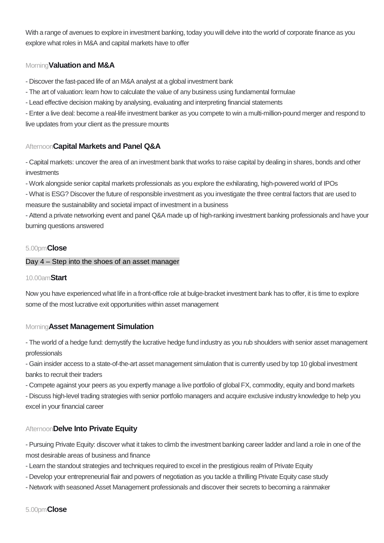With a range of avenues to explore in investment banking, today you will delve into the world of corporate finance as you explore what roles in M&A and capital markets have to offer

# Morning**Valuation and M&A**

- Discover the fast-paced life of an M&A analyst at a global investment bank

- The art of valuation: learn how to calculate the value of any business using fundamental formulae
- Lead effective decision making by analysing, evaluating and interpreting financial statements

- Enter a live deal: become a real-life investment banker as you compete to win a multi-million-pound merger and respond to live updates from your client as the pressure mounts

# Afternoon**Capital Markets and Panel Q&A**

- Capital markets: uncover the area of an investment bank that works to raise capital by dealing in shares, bonds and other investments

- Work alongside senior capital markets professionals as you explore the exhilarating, high-powered world of IPOs

- What is ESG? Discover the future of responsible investment as you investigate the three central factors that are used to measure the sustainability and societal impact of investment in a business

- Attend a private networking event and panel Q&A made up of high-ranking investment banking professionals and have your burning questions answered

## 5.00pm**Close**

## Day 4 – Step into the shoes of an asset manager

### 10.00am**Start**

Now you have experienced what life in a front-office role at bulge-bracket investment bank has to offer, it is time to explore some of the most lucrative exit opportunities within asset management

# Morning**Asset Management Simulation**

- The world of a hedge fund: demystify the lucrative hedge fund industry as you rub shoulders with senior asset management professionals

- Gain insider access to a state-of-the-art asset management simulation that is currently used by top 10 global investment banks to recruit their traders

- Compete against your peers as you expertly manage a live portfolio of global FX, commodity, equity and bond markets

- Discuss high-level trading strategies with senior portfolio managers and acquire exclusive industry knowledge to help you excel in your financial career

# Afternoon**Delve Into Private Equity**

- Pursuing Private Equity: discover what it takes to climb the investment banking career ladder and land a role in one of the most desirable areas of business and finance

- Learn the standout strategies and techniques required to excel in the prestigious realm of Private Equity
- Develop your entrepreneurial flair and powers of negotiation as you tackle a thrilling Private Equity case study
- Network with seasoned Asset Management professionals and discover their secrets to becoming a rainmaker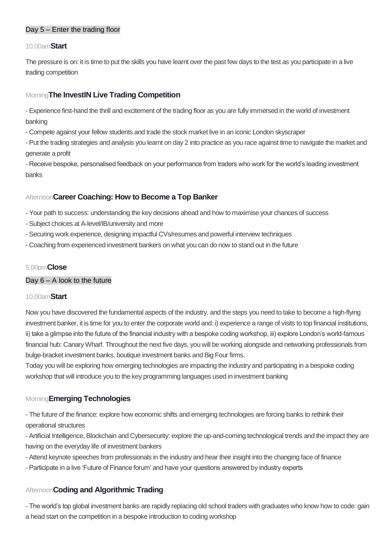# Day 5 – Enter the trading floor

## 10.00am**Start**

The pressure is on: it is time to put the skills you have learnt over the past few days to the test as you participate in a live trading competition

# Morning**The InvestIN Live Trading Competition**

- Experience first-hand the thrill and excitement of the trading floor as you are fully immersed in the world of investment banking

- Compete against your fellow students and trade the stock market live in an iconic London skyscraper

- Put the trading strategies and analysis you learnt on day 2 into practice as you race against time to navigate the market and generate a profit

- Receive bespoke, personalised feedback on your performance from traders who work for the world's leading investment banks

# Afternoon**Career Coaching: How to Become a Top Banker**

- Your path to success: understanding the key decisions ahead and how to maximise your chances of success

- Subject choices at A-level/IB/university and more
- Securing work experience, designing impactful CVs/resumes and powerful interview techniques
- Coaching from experienced investment bankers on what you can do now to stand out in the future

# 5.00pm**Close**

### Day  $6 - A$  look to the future

### 10.00am**Start**

Now you have discovered the fundamental aspects of the industry, and the steps you need to take to become a high-flying investment banker, it is time for you to enter the corporate world and: i) experience a range of visits to top financial institutions, ii) take a glimpse into the future of the financial industry with a bespoke coding workshop, iii) explore London's world-famous financial hub: Canary Wharf. Throughout the next five days, you will be working alongside and networking professionals from bulge-bracket investment banks, boutique investment banks and Big Four firms.

Today you will be exploring how emerging technologies are impacting the industry and participating in a bespoke coding workshop that will introduce you to the key programming languages used in investment banking

# Morning**Emerging Technologies**

- The future of the finance: explore how economic shifts and emerging technologies are forcing banks to rethink their operational structures

- Artificial Intelligence, Blockchain and Cybersecurity: explore the up-and-coming technological trends and the impact they are having on the everyday life of investment bankers

- Attend keynote speeches from professionals in the industry and hear their insight into the changing face of finance
- Participate in a live 'Future of Finance forum' and have your questions answered by industry experts

# Afternoon**Coding and Algorithmic Trading**

- The world's top global investment banks are rapidly replacing old school traders with graduates who know how to code: gain a head start on the competition in a bespoke introduction to coding workshop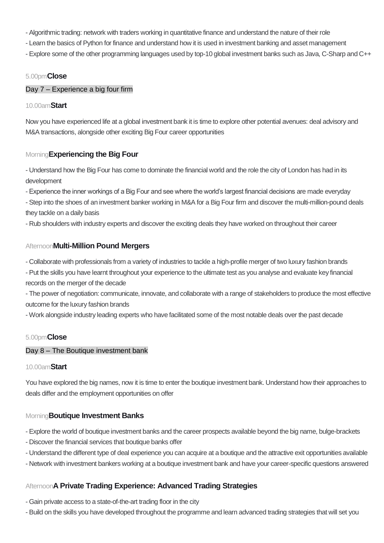- Algorithmic trading: network with traders working in quantitative finance and understand the nature of their role
- Learn the basics of Python for finance and understand how it is used in investment banking and asset management
- Explore some of the other programming languages used by top-10 global investment banks such as Java, C-Sharp and C++

## 5.00pm**Close**

## Day 7 – Experience a big four firm

### 10.00am**Start**

Now you have experienced life at a global investment bank it is time to explore other potential avenues: deal advisory and M&A transactions, alongside other exciting Big Four career opportunities

# Morning**Experiencing the Big Four**

- Understand how the Big Four has come to dominate the financial world and the role the city of London has had in its development

- Experience the inner workings of a Big Four and see where the world's largest financial decisions are made everyday

- Step into the shoes of an investment banker working in M&A for a Big Four firm and discover the multi-million-pound deals they tackle on a daily basis

- Rub shoulders with industry experts and discover the exciting deals they have worked on throughout their career

# Afternoon**Multi-Million Pound Mergers**

- Collaborate with professionals from a variety of industries to tackle a high-profile merger of two luxury fashion brands
- Put the skills you have learnt throughout your experience to the ultimate test as you analyse and evaluate key financial records on the merger of the decade

- The power of negotiation: communicate, innovate, and collaborate with a range of stakeholders to produce the most effective outcome for the luxury fashion brands

- Work alongside industry leading experts who have facilitated some of the most notable deals over the past decade

# 5.00pm**Close**

### Day 8 – The Boutique investment bank

### 10.00am**Start**

You have explored the big names, now it is time to enter the boutique investment bank. Understand how their approaches to deals differ and the employment opportunities on offer

# Morning**Boutique Investment Banks**

- Explore the world of boutique investment banks and the career prospects available beyond the big name, bulge-brackets
- Discover the financial services that boutique banks offer
- Understand the different type of deal experience you can acquire at a boutique and the attractive exit opportunities available
- Network with investment bankers working at a boutique investment bank and have your career-specific questions answered

# Afternoon**A Private Trading Experience: Advanced Trading Strategies**

- Gain private access to a state-of-the-art trading floor in the city
- Build on the skills you have developed throughout the programme and learn advanced trading strategies that will set you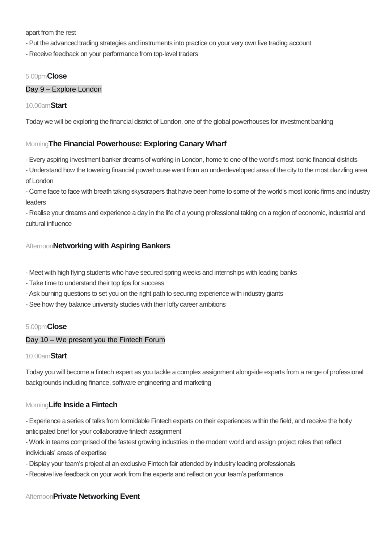apart from the rest

- Put the advanced trading strategies and instruments into practice on your very own live trading account
- Receive feedback on your performance from top-level traders

## 5.00pm**Close**

### Day 9 – Explore London

### 10.00am**Start**

Today we will be exploring the financial district of London, one of the global powerhouses for investment banking

# Morning**The Financial Powerhouse: Exploring Canary Wharf**

- Every aspiring investment banker dreams of working in London, home to one of the world's most iconic financial districts
- Understand how the towering financial powerhouse went from an underdeveloped area of the city to the most dazzling area of London
- Come face to face with breath taking skyscrapers that have been home to some of the world's most iconic firms and industry leaders
- Realise your dreams and experience a day in the life of a young professional taking on a region of economic, industrial and cultural influence

# Afternoon**Networking with Aspiring Bankers**

- Meet with high flying students who have secured spring weeks and internships with leading banks
- Take time to understand their top tips for success
- Ask burning questions to set you on the right path to securing experience with industry giants
- See how they balance university studies with their lofty career ambitions

### 5.00pm**Close**

### Day 10 – We present you the Fintech Forum

### 10.00am**Start**

Today you will become a fintech expert as you tackle a complex assignment alongside experts from a range of professional backgrounds including finance, software engineering and marketing

# Morning**Life Inside a Fintech**

- Experience a series of talks from formidable Fintech experts on their experiences within the field, and receive the hotly anticipated brief for your collaborative fintech assignment

- Work in teams comprised of the fastest growing industries in the modern world and assign project roles that reflect individuals' areas of expertise

- Display your team's project at an exclusive Fintech fair attended by industry leading professionals
- Receive live feedback on your work from the experts and reflect on your team's performance

# Afternoon**Private Networking Event**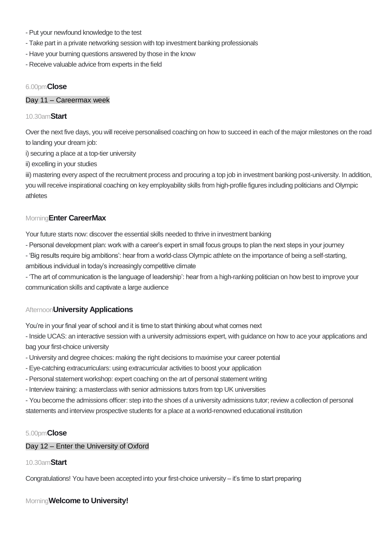- Put your newfound knowledge to the test
- Take part in a private networking session with top investment banking professionals
- Have your burning questions answered by those in the know
- Receive valuable advice from experts in the field

### 6.00pm**Close**

#### Day 11 – Careermax week

#### 10.30am**Start**

Over the next five days, you will receive personalised coaching on how to succeed in each of the major milestones on the road to landing your dream job:

i) securing a place at a top-tier university

ii) excelling in your studies

iii) mastering every aspect of the recruitment process and procuring a top job in investment banking post-university. In addition, you will receive inspirational coaching on key employability skills from high-profile figures including politicians and Olympic athletes

### Morning**Enter CareerMax**

Your future starts now: discover the essential skills needed to thrive in investment banking

- Personal development plan: work with a career's expert in small focus groups to plan the next steps in your journey

- 'Big results require big ambitions': hear from a world-class Olympic athlete on the importance of being a self-starting, ambitious individual in today's increasingly competitive climate

- 'The art of communication is the language of leadership': hear from a high-ranking politician on how best to improve your communication skills and captivate a large audience

# Afternoon**University Applications**

You're in your final year of school and it is time to start thinking about what comes next

- Inside UCAS: an interactive session with a university admissions expert, with guidance on how to ace your applications and bag your first-choice university

- University and degree choices: making the right decisions to maximise your career potential
- Eye-catching extracurriculars: using extracurricular activities to boost your application
- Personal statement workshop: expert coaching on the art of personal statement writing
- Interview training: a masterclass with senior admissions tutors from top UK universities

- You become the admissions officer: step into the shoes of a university admissions tutor; review a collection of personal statements and interview prospective students for a place at a world-renowned educational institution

#### 5.00pm**Close**

### Day 12 – Enter the University of Oxford

### 10.30am**Start**

Congratulations! You have been accepted into your first-choice university – it's time to start preparing

### Morning**Welcome to University!**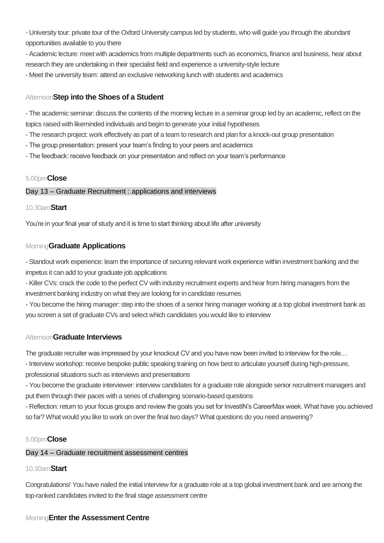- University tour: private tour of the Oxford University campus led by students, who will guide you through the abundant opportunities available to you there

- Academic lecture: meet with academics from multiple departments such as economics, finance and business, hear about research they are undertaking in their specialist field and experience a university-style lecture

- Meet the university team: attend an exclusive networking lunch with students and academics

# Afternoon**Step into the Shoes of a Student**

- The academic seminar: discuss the contents of the morning lecture in a seminar group led by an academic, reflect on the topics raised with likeminded individuals and begin to generate your initial hypotheses

- The research project: work effectively as part of a team to research and plan for a knock-out group presentation
- The group presentation: present your team's finding to your peers and academics
- The feedback: receive feedback on your presentation and reflect on your team's performance

## 5.00pm**Close**

### Day 13 – Graduate Recruitment : applications and interviews

### 10.30am**Start**

You're in your final year of study and it is time to start thinking about life after university

# Morning**Graduate Applications**

- Standout work experience: learn the importance of securing relevant work experience within investment banking and the impetus it can add to your graduate job applications

- Killer CVs: crack the code to the perfect CV with industry recruitment experts and hear from hiring managers from the investment banking industry on what they are looking for in candidate resumes

- You become the hiring manager: step into the shoes of a senior hiring manager working at a top global investment bank as you screen a set of graduate CVs and select which candidates you would like to interview

# Afternoon**Graduate Interviews**

The graduate recruiter was impressed by your knockout CV and you have now been invited to interview for the role…

- Interview workshop: receive bespoke public speaking training on how best to articulate yourself during high-pressure,

professional situations such as interviews and presentations

- You become the graduate interviewer: interview candidates for a graduate role alongside senior recruitment managers and put them through their paces with a series of challenging scenario-based questions

- Reflection: return to your focus groups and review the goals you set for InvestIN's CareerMax week. What have you achieved so far? What would you like to work on over the final two days? What questions do you need answering?

### 5.00pm**Close**

### Day 14 – Graduate recruitment assessment centres

# 10.30am**Start**

Congratulations! You have nailed the initial interview for a graduate role at a top global investment bank and are among the top-ranked candidates invited to the final stage assessment centre

# Morning**Enter the Assessment Centre**